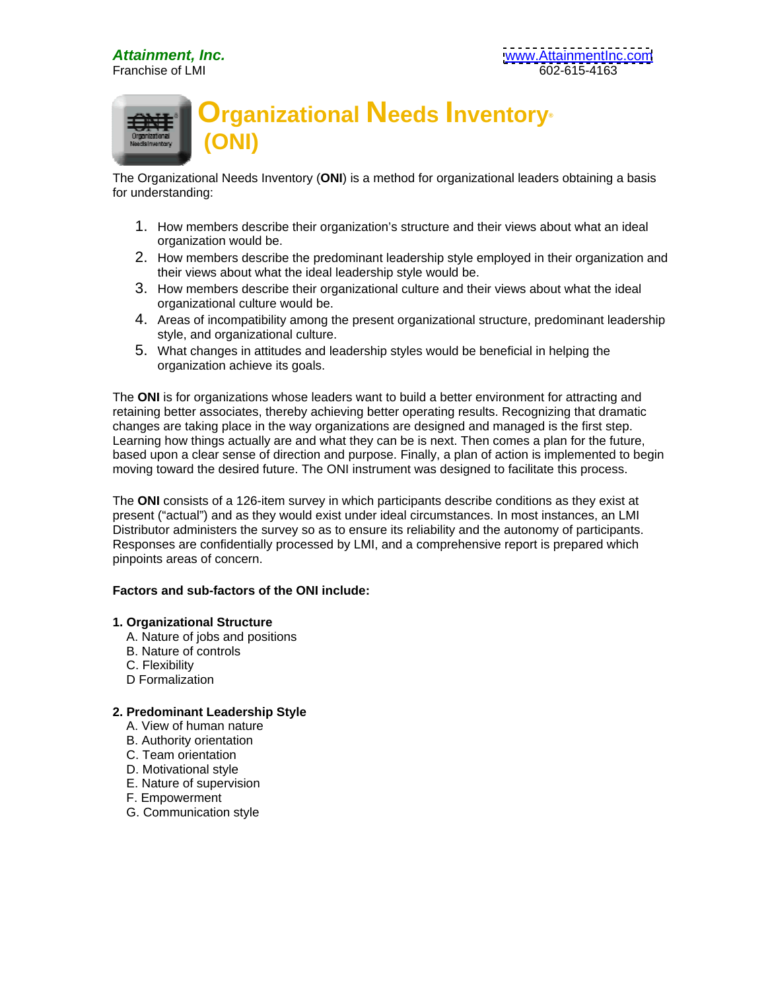

The Organizational Needs Inventory (**ONI**) is a method for organizational leaders obtaining a basis for understanding:

- 1. How members describe their organization's structure and their views about what an ideal organization would be.
- 2. How members describe the predominant leadership style employed in their organization and their views about what the ideal leadership style would be.
- 3. How members describe their organizational culture and their views about what the ideal organizational culture would be.
- 4. Areas of incompatibility among the present organizational structure, predominant leadership style, and organizational culture.
- 5. What changes in attitudes and leadership styles would be beneficial in helping the organization achieve its goals.

The **ONI** is for organizations whose leaders want to build a better environment for attracting and retaining better associates, thereby achieving better operating results. Recognizing that dramatic changes are taking place in the way organizations are designed and managed is the first step. Learning how things actually are and what they can be is next. Then comes a plan for the future, based upon a clear sense of direction and purpose. Finally, a plan of action is implemented to begin moving toward the desired future. The ONI instrument was designed to facilitate this process.

The **ONI** consists of a 126-item survey in which participants describe conditions as they exist at present ("actual") and as they would exist under ideal circumstances. In most instances, an LMI Distributor administers the survey so as to ensure its reliability and the autonomy of participants. Responses are confidentially processed by LMI, and a comprehensive report is prepared which pinpoints areas of concern.

## **Factors and sub-factors of the ONI include:**

## **1. Organizational Structure**

- A. Nature of jobs and positions
- B. Nature of controls and the set of controls and the set of controls and the set of controls and the set of controls and the set of controls and the set of controls and the set of controls and the set of controls and the
- C. Flexibility
- D Formalization **D** Formalization **D** Formalization **D** Formalization **D** Formalization

## **2. Predominant Leadership Style**

- A. View of human nature
- B. Authority orientation **B. Authority of the Contract of Contract and Contract of Contract of Contract of Contract of Contract of Contract of Contract of Contract of Contract of Contract of Contract of Contract of Contrac**
- C. Team orientation
- D. Motivational style
	- E. Nature of supervision
	- F. Empowerment
	- G. Communication style